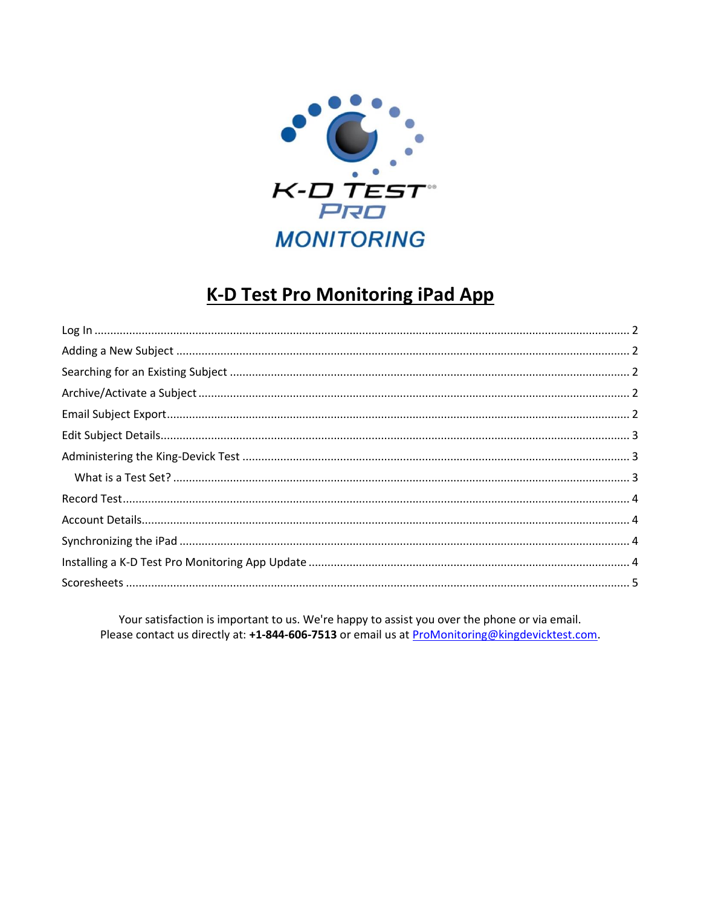

# **K-D Test Pro Monitoring iPad App**

Your satisfaction is important to us. We're happy to assist you over the phone or via email. Please contact us directly at: +1-844-606-7513 or email us at ProMonitoring@kingdevicktest.com.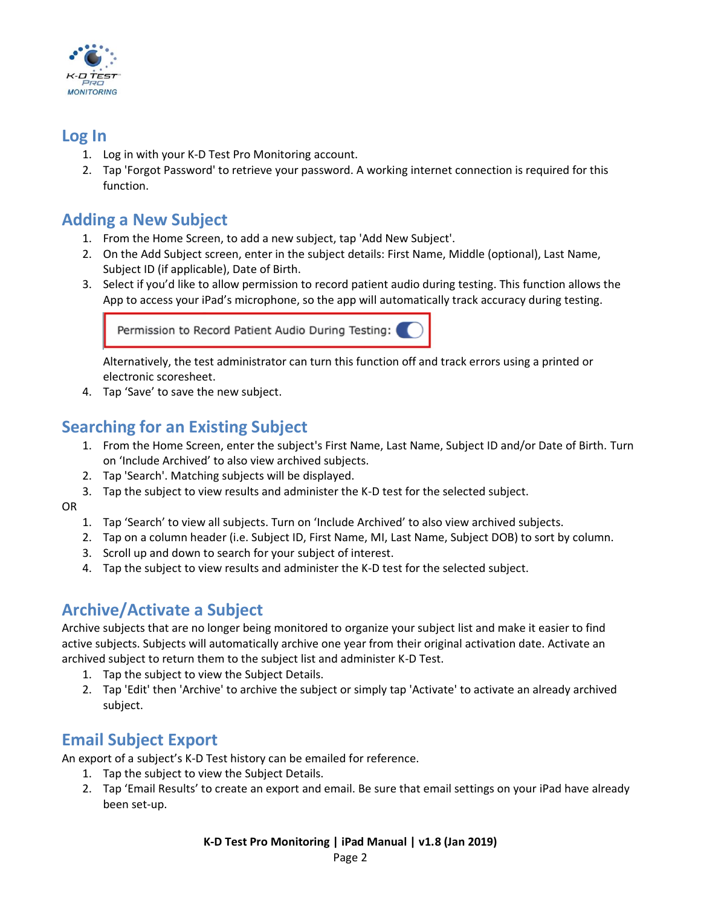

#### <span id="page-1-0"></span>**Log In**

- 1. Log in with your K-D Test Pro Monitoring account.
- 2. Tap 'Forgot Password' to retrieve your password. A working internet connection is required for this function.

### <span id="page-1-1"></span>**Adding a New Subject**

- 1. From the Home Screen, to add a new subject, tap 'Add New Subject'.
- 2. On the Add Subject screen, enter in the subject details: First Name, Middle (optional), Last Name, Subject ID (if applicable), Date of Birth.
- 3. Select if you'd like to allow permission to record patient audio during testing. This function allows the App to access your iPad's microphone, so the app will automatically track accuracy during testing.

Permission to Record Patient Audio During Testing:

Alternatively, the test administrator can turn this function off and track errors using a printed or electronic scoresheet.

4. Tap 'Save' to save the new subject.

### <span id="page-1-2"></span>**Searching for an Existing Subject**

- 1. From the Home Screen, enter the subject's First Name, Last Name, Subject ID and/or Date of Birth. Turn on 'Include Archived' to also view archived subjects.
- 2. Tap 'Search'. Matching subjects will be displayed.
- 3. Tap the subject to view results and administer the K-D test for the selected subject.
- OR
	- 1. Tap 'Search' to view all subjects. Turn on 'Include Archived' to also view archived subjects.
	- 2. Tap on a column header (i.e. Subject ID, First Name, MI, Last Name, Subject DOB) to sort by column.
	- 3. Scroll up and down to search for your subject of interest.
	- 4. Tap the subject to view results and administer the K-D test for the selected subject.

### <span id="page-1-3"></span>**Archive/Activate a Subject**

Archive subjects that are no longer being monitored to organize your subject list and make it easier to find active subjects. Subjects will automatically archive one year from their original activation date. Activate an archived subject to return them to the subject list and administer K-D Test.

- 1. Tap the subject to view the Subject Details.
- 2. Tap 'Edit' then 'Archive' to archive the subject or simply tap 'Activate' to activate an already archived subject.

#### <span id="page-1-4"></span>**Email Subject Export**

An export of a subject's K-D Test history can be emailed for reference.

- 1. Tap the subject to view the Subject Details.
- 2. Tap 'Email Results' to create an export and email. Be sure that email settings on your iPad have already been set-up.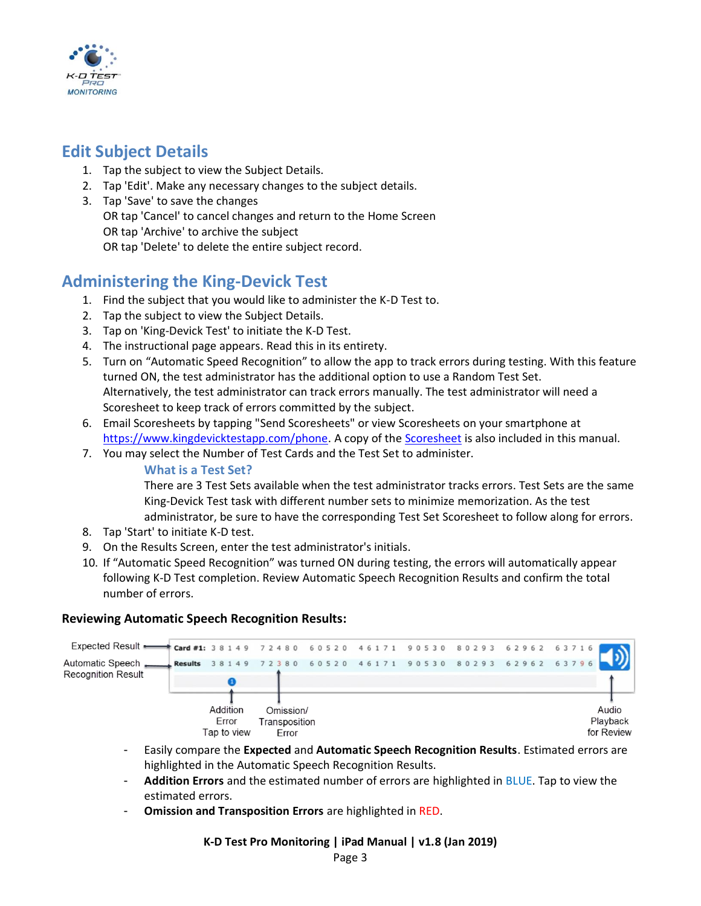

#### <span id="page-2-0"></span>**Edit Subject Details**

- 1. Tap the subject to view the Subject Details.
- 2. Tap 'Edit'. Make any necessary changes to the subject details.
- 3. Tap 'Save' to save the changes OR tap 'Cancel' to cancel changes and return to the Home Screen OR tap 'Archive' to archive the subject OR tap 'Delete' to delete the entire subject record.

#### <span id="page-2-1"></span>**Administering the King-Devick Test**

- 1. Find the subject that you would like to administer the K-D Test to.
- 2. Tap the subject to view the Subject Details.
- 3. Tap on 'King-Devick Test' to initiate the K-D Test.
- 4. The instructional page appears. Read this in its entirety.
- 5. Turn on "Automatic Speed Recognition" to allow the app to track errors during testing. With this feature turned ON, the test administrator has the additional option to use a Random Test Set. Alternatively, the test administrator can track errors manually. The test administrator will need a Scoresheet to keep track of errors committed by the subject.
- 6. Email Scoresheets by tapping "Send Scoresheets" or view Scoresheets on your smartphone at [https://www.kingdevicktestapp.com/phone.](https://www.kingdevicktestapp.com/phone) A copy of th[e Scoresheet](#page-4-0) is also included in this manual.
- 7. You may select the Number of Test Cards and the Test Set to administer.

<span id="page-2-2"></span>**What is a Test Set?**

There are 3 Test Sets available when the test administrator tracks errors. Test Sets are the same King-Devick Test task with different number sets to minimize memorization. As the test administrator, be sure to have the corresponding Test Set Scoresheet to follow along for errors.

- 8. Tap 'Start' to initiate K-D test.
- 9. On the Results Screen, enter the test administrator's initials.
- 10. If "Automatic Speed Recognition" was turned ON during testing, the errors will automatically appear following K-D Test completion. Review Automatic Speech Recognition Results and confirm the total number of errors.

#### **Reviewing Automatic Speech Recognition Results:**



- Easily compare the **Expected** and **Automatic Speech Recognition Results**. Estimated errors are highlighted in the Automatic Speech Recognition Results.
- **Addition Errors** and the estimated number of errors are highlighted in BLUE. Tap to view the estimated errors.
- **Omission and Transposition Errors** are highlighted in RED.

#### **K-D Test Pro Monitoring | iPad Manual | v1.8 (Jan 2019)**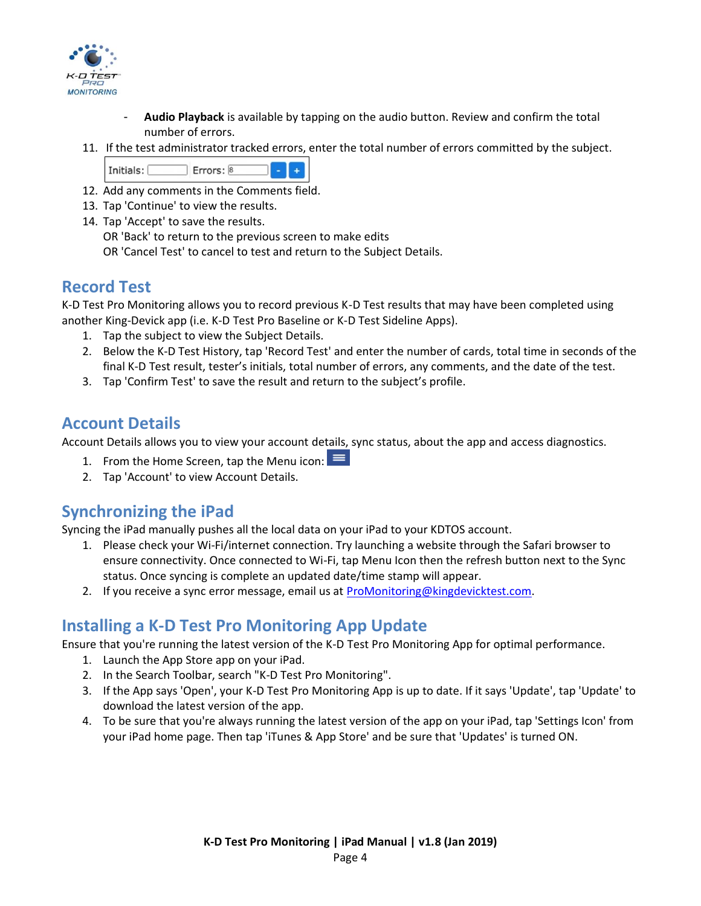

- **Audio Playback** is available by tapping on the audio button. Review and confirm the total number of errors.
- 11. If the test administrator tracked errors, enter the total number of errors committed by the subject.



- 12. Add any comments in the Comments field.
- 13. Tap 'Continue' to view the results.
- 14. Tap 'Accept' to save the results.

OR 'Back' to return to the previous screen to make edits

OR 'Cancel Test' to cancel to test and return to the Subject Details.

#### <span id="page-3-0"></span>**Record Test**

K-D Test Pro Monitoring allows you to record previous K-D Test results that may have been completed using another King-Devick app (i.e. K-D Test Pro Baseline or K-D Test Sideline Apps).

- 1. Tap the subject to view the Subject Details.
- 2. Below the K-D Test History, tap 'Record Test' and enter the number of cards, total time in seconds of the final K-D Test result, tester's initials, total number of errors, any comments, and the date of the test.
- 3. Tap 'Confirm Test' to save the result and return to the subject's profile.

#### <span id="page-3-1"></span>**Account Details**

Account Details allows you to view your account details, sync status, about the app and access diagnostics.

- 1. From the Home Screen, tap the Menu icon:  $\equiv$
- 2. Tap 'Account' to view Account Details.

### <span id="page-3-2"></span>**Synchronizing the iPad**

Syncing the iPad manually pushes all the local data on your iPad to your KDTOS account.

- 1. Please check your Wi-Fi/internet connection. Try launching a website through the Safari browser to ensure connectivity. Once connected to Wi-Fi, tap Menu Icon then the refresh button next to the Sync status. Once syncing is complete an updated date/time stamp will appear.
- 2. If you receive a sync error message, email us at [ProMonitoring@kingdevicktest.com.](mailto:ProMonitoring@kingdevicktest.com)

### <span id="page-3-3"></span>**Installing a K-D Test Pro Monitoring App Update**

Ensure that you're running the latest version of the K-D Test Pro Monitoring App for optimal performance.

- 1. Launch the App Store app on your iPad.
- 2. In the Search Toolbar, search "K-D Test Pro Monitoring".
- 3. If the App says 'Open', your K-D Test Pro Monitoring App is up to date. If it says 'Update', tap 'Update' to download the latest version of the app.
- 4. To be sure that you're always running the latest version of the app on your iPad, tap 'Settings Icon' from your iPad home page. Then tap 'iTunes & App Store' and be sure that 'Updates' is turned ON.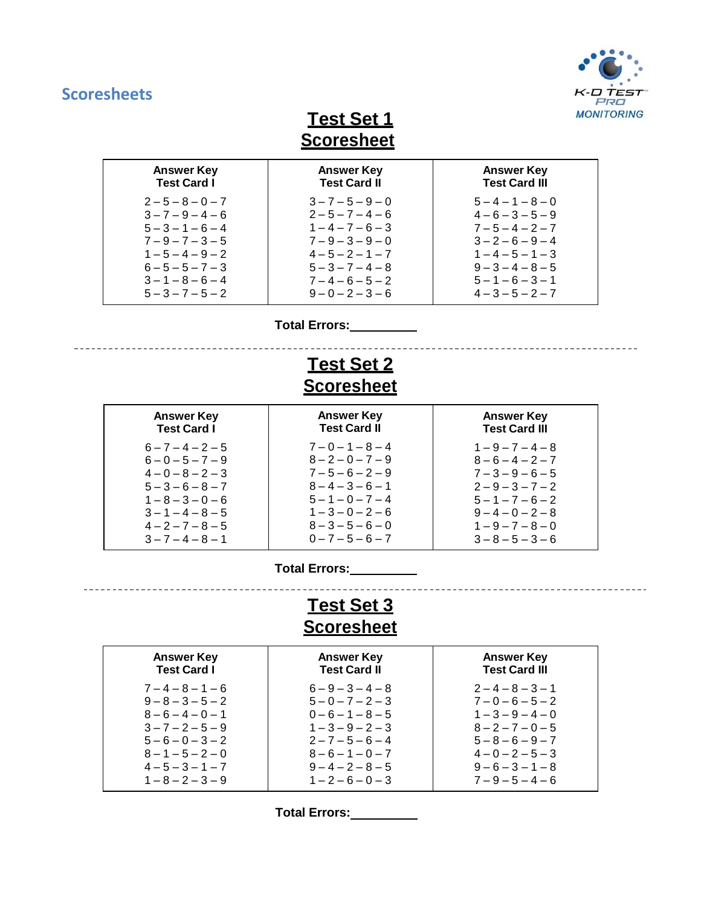## <span id="page-4-0"></span>**Scoresheets**



**Test Set 1 Scoresheet**

| <b>Answer Key</b>   | <b>Answer Key</b>   | <b>Answer Key</b>    |
|---------------------|---------------------|----------------------|
| <b>Test Card I</b>  | <b>Test Card II</b> | <b>Test Card III</b> |
| $2 - 5 - 8 - 0 - 7$ | $3 - 7 - 5 - 9 - 0$ | $5 - 4 - 1 - 8 - 0$  |
| $3 - 7 - 9 - 4 - 6$ | $2 - 5 - 7 - 4 - 6$ | $4-6-3-5-9$          |
| $5 - 3 - 1 - 6 - 4$ | $1 - 4 - 7 - 6 - 3$ | $7 - 5 - 4 - 2 - 7$  |
| $7 - 9 - 7 - 3 - 5$ | $7 - 9 - 3 - 9 - 0$ | $3 - 2 - 6 - 9 - 4$  |
| $1 - 5 - 4 - 9 - 2$ | $4 - 5 - 2 - 1 - 7$ | $1 - 4 - 5 - 1 - 3$  |
| $6 - 5 - 5 - 7 - 3$ | $5 - 3 - 7 - 4 - 8$ | $9 - 3 - 4 - 8 - 5$  |
| $3 - 1 - 8 - 6 - 4$ | $7 - 4 - 6 - 5 - 2$ | $5 - 1 - 6 - 3 - 1$  |
| $5 - 3 - 7 - 5 - 2$ | $9 - 0 - 2 - 3 - 6$ | $4 - 3 - 5 - 2 - 7$  |

**Total Errors:**

## **Test Set 2 Scoresheet**

| <b>Answer Key</b><br><b>Test Card I</b> | <b>Answer Key</b><br><b>Test Card II</b> | <b>Answer Key</b><br><b>Test Card III</b> |
|-----------------------------------------|------------------------------------------|-------------------------------------------|
| $6 - 7 - 4 - 2 - 5$                     | $7 - 0 - 1 - 8 - 4$                      | $1 - 9 - 7 - 4 - 8$                       |
| $6 - 0 - 5 - 7 - 9$                     | $8 - 2 - 0 - 7 - 9$                      | $8 - 6 - 4 - 2 - 7$                       |
| $4 - 0 - 8 - 2 - 3$                     | $7 - 5 - 6 - 2 - 9$                      | $7 - 3 - 9 - 6 - 5$                       |
| $5 - 3 - 6 - 8 - 7$                     | $8 - 4 - 3 - 6 - 1$                      | $2 - 9 - 3 - 7 - 2$                       |
| $1 - 8 - 3 - 0 - 6$                     | $5 - 1 - 0 - 7 - 4$                      | $5 - 1 - 7 - 6 - 2$                       |
| $3 - 1 - 4 - 8 - 5$                     | $1 - 3 - 0 - 2 - 6$                      | $9-4-0-2-8$                               |
| $4 - 2 - 7 - 8 - 5$                     | $8 - 3 - 5 - 6 - 0$                      | $1 - 9 - 7 - 8 - 0$                       |
| $3 - 7 - 4 - 8 - 1$                     | $0 - 7 - 5 - 6 - 7$                      | $3 - 8 - 5 - 3 - 6$                       |
|                                         |                                          |                                           |

**Total Errors:**

---------------

## **Test Set 3 Scoresheet**

| <b>Answer Key</b>   | <b>Answer Key</b>   | <b>Answer Key</b>    |
|---------------------|---------------------|----------------------|
| <b>Test Card I</b>  | <b>Test Card II</b> | <b>Test Card III</b> |
| $7 - 4 - 8 - 1 - 6$ | $6 - 9 - 3 - 4 - 8$ | $2 - 4 - 8 - 3 - 1$  |
| $9 - 8 - 3 - 5 - 2$ | $5 - 0 - 7 - 2 - 3$ | $7 - 0 - 6 - 5 - 2$  |
| $8 - 6 - 4 - 0 - 1$ | $0 - 6 - 1 - 8 - 5$ | $1 - 3 - 9 - 4 - 0$  |
| $3 - 7 - 2 - 5 - 9$ | $1 - 3 - 9 - 2 - 3$ | $8 - 2 - 7 - 0 - 5$  |
| $5 - 6 - 0 - 3 - 2$ | $2 - 7 - 5 - 6 - 4$ | $5 - 8 - 6 - 9 - 7$  |
| $8 - 1 - 5 - 2 - 0$ | $8 - 6 - 1 - 0 - 7$ | $4 - 0 - 2 - 5 - 3$  |
| $4 - 5 - 3 - 1 - 7$ | $9-4-2-8-5$         | $9-6-3-1-8$          |
| $1 - 8 - 2 - 3 - 9$ | $1 - 2 - 6 - 0 - 3$ | $7 - 9 - 5 - 4 - 6$  |

**Total Errors:**